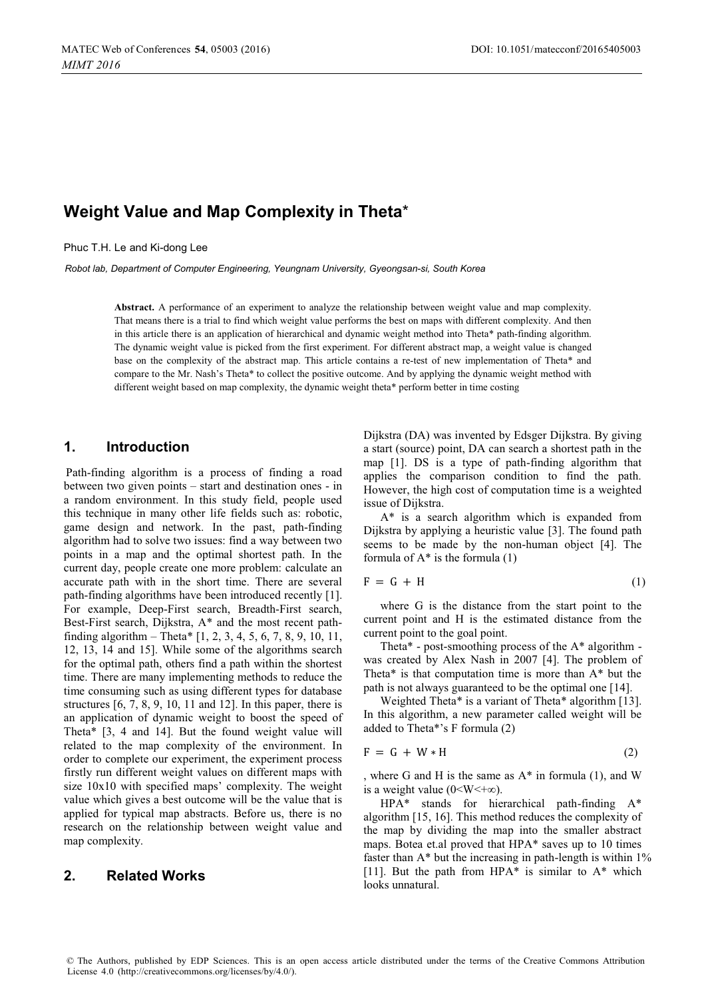# **Weight Value and Map Complexity in Theta**\*

Phuc T.H. Le and Ki-dong Lee

*Robot lab, Department of Computer Engineering, Yeungnam University, Gyeongsan-si, South Korea* 

**Abstract.** A performance of an experiment to analyze the relationship between weight value and map complexity. That means there is a trial to find which weight value performs the best on maps with different complexity. And then in this article there is an application of hierarchical and dynamic weight method into Theta\* path-finding algorithm. The dynamic weight value is picked from the first experiment. For different abstract map, a weight value is changed base on the complexity of the abstract map. This article contains a re-test of new implementation of Theta\* and compare to the Mr. Nash's Theta\* to collect the positive outcome. And by applying the dynamic weight method with different weight based on map complexity, the dynamic weight theta\* perform better in time costing

### **1. Introduction**

Path-finding algorithm is a process of finding a road between two given points – start and destination ones - in a random environment. In this study field, people used this technique in many other life fields such as: robotic, game design and network. In the past, path-finding algorithm had to solve two issues: find a way between two points in a map and the optimal shortest path. In the current day, people create one more problem: calculate an accurate path with in the short time. There are several path-finding algorithms have been introduced recently [1]. For example, Deep-First search, Breadth-First search, Best-First search, Dijkstra, A\* and the most recent pathfinding algorithm – Theta\* [1, 2, 3, 4, 5, 6, 7, 8, 9, 10, 11, 12, 13, 14 and 15]. While some of the algorithms search for the optimal path, others find a path within the shortest time. There are many implementing methods to reduce the time consuming such as using different types for database structures  $[6, 7, 8, 9, 10, 11, 11, 12]$ . In this paper, there is an application of dynamic weight to boost the speed of Theta\* [3, 4 and 14]. But the found weight value will related to the map complexity of the environment. In order to complete our experiment, the experiment process firstly run different weight values on different maps with size 10x10 with specified maps' complexity. The weight value which gives a best outcome will be the value that is applied for typical map abstracts. Before us, there is no research on the relationship between weight value and map complexity.

#### **2. Related Works**

Dijkstra (DA) was invented by Edsger Dijkstra. By giving a start (source) point, DA can search a shortest path in the map [1]. DS is a type of path-finding algorithm that applies the comparison condition to find the path. However, the high cost of computation time is a weighted issue of Dijkstra.

A\* is a search algorithm which is expanded from Dijkstra by applying a heuristic value [3]. The found path seems to be made by the non-human object [4]. The formula of  $A^*$  is the formula  $(1)$ 

$$
F = G + H \tag{1}
$$

where G is the distance from the start point to the current point and H is the estimated distance from the current point to the goal point.

Theta\* - post-smoothing process of the A\* algorithm was created by Alex Nash in 2007 [4]. The problem of Theta\* is that computation time is more than A\* but the path is not always guaranteed to be the optimal one [14].

Weighted Theta\* is a variant of Theta\* algorithm [13]. In this algorithm, a new parameter called weight will be added to Theta\*'s F formula (2)

$$
F = G + W * H \tag{2}
$$

, where G and H is the same as A\* in formula (1), and W is a weight value ( $0 \le W \le +\infty$ ).

HPA\* stands for hierarchical path-finding A\* algorithm [15, 16]. This method reduces the complexity of the map by dividing the map into the smaller abstract maps. Botea et.al proved that HPA\* saves up to 10 times faster than  $A^*$  but the increasing in path-length is within  $1\%$ [11]. But the path from  $HPA*$  is similar to  $A*$  which looks unnatural.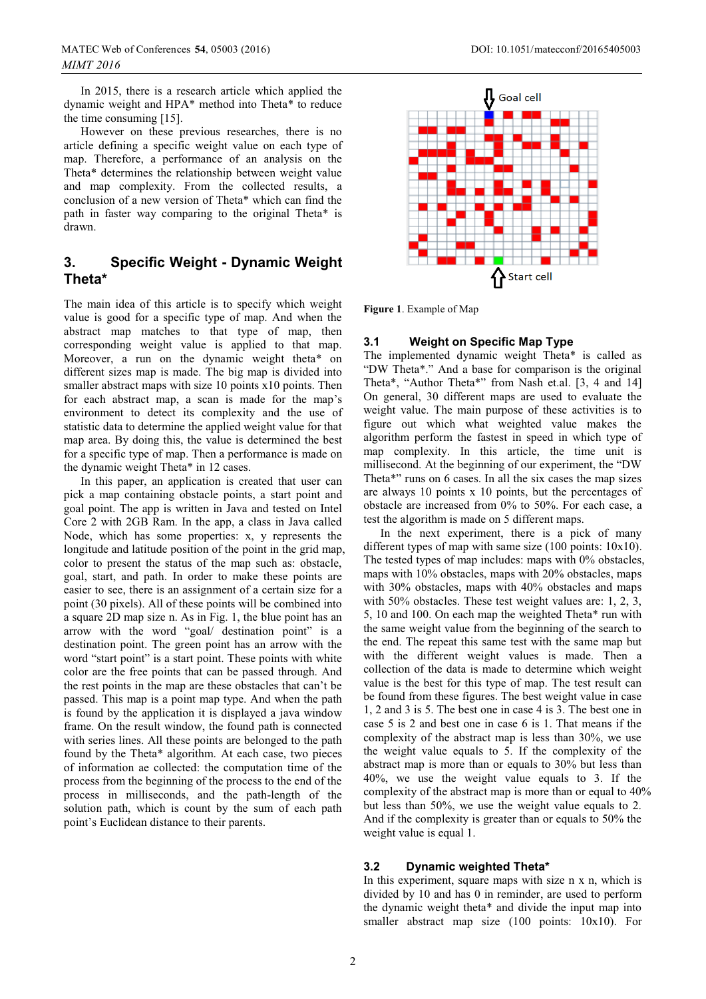In 2015, there is a research article which applied the dynamic weight and HPA\* method into Theta\* to reduce the time consuming [15].

However on these previous researches, there is no article defining a specific weight value on each type of map. Therefore, a performance of an analysis on the Theta\* determines the relationship between weight value and map complexity. From the collected results, a conclusion of a new version of Theta\* which can find the path in faster way comparing to the original Theta\* is drawn.

## **3. Specific Weight - Dynamic Weight Theta\***

The main idea of this article is to specify which weight value is good for a specific type of map. And when the abstract map matches to that type of map, then corresponding weight value is applied to that map. Moreover, a run on the dynamic weight theta\* on different sizes map is made. The big map is divided into smaller abstract maps with size 10 points x10 points. Then for each abstract map, a scan is made for the map's environment to detect its complexity and the use of statistic data to determine the applied weight value for that map area. By doing this, the value is determined the best for a specific type of map. Then a performance is made on the dynamic weight Theta\* in 12 cases.

In this paper, an application is created that user can pick a map containing obstacle points, a start point and goal point. The app is written in Java and tested on Intel Core 2 with 2GB Ram. In the app, a class in Java called Node, which has some properties: x, y represents the longitude and latitude position of the point in the grid map, color to present the status of the map such as: obstacle, goal, start, and path. In order to make these points are easier to see, there is an assignment of a certain size for a point (30 pixels). All of these points will be combined into a square 2D map size n. As in Fig. 1, the blue point has an arrow with the word "goal/ destination point" is a destination point. The green point has an arrow with the word "start point" is a start point. These points with white color are the free points that can be passed through. And the rest points in the map are these obstacles that can't be passed. This map is a point map type. And when the path is found by the application it is displayed a java window frame. On the result window, the found path is connected with series lines. All these points are belonged to the path found by the Theta\* algorithm. At each case, two pieces of information ae collected: the computation time of the process from the beginning of the process to the end of the process in milliseconds, and the path-length of the solution path, which is count by the sum of each path point's Euclidean distance to their parents.



**Figure 1**. Example of Map

#### **3.1 Weight on Specific Map Type**

The implemented dynamic weight Theta\* is called as "DW Theta\*." And a base for comparison is the original Theta\*, "Author Theta\*" from Nash et.al. [3, 4 and 14] On general, 30 different maps are used to evaluate the weight value. The main purpose of these activities is to figure out which what weighted value makes the algorithm perform the fastest in speed in which type of map complexity. In this article, the time unit is millisecond. At the beginning of our experiment, the "DW Theta\*" runs on 6 cases. In all the six cases the map sizes are always 10 points x 10 points, but the percentages of obstacle are increased from 0% to 50%. For each case, a test the algorithm is made on 5 different maps.

In the next experiment, there is a pick of many different types of map with same size (100 points: 10x10). The tested types of map includes: maps with 0% obstacles, maps with 10% obstacles, maps with 20% obstacles, maps with 30% obstacles, maps with 40% obstacles and maps with 50% obstacles. These test weight values are: 1, 2, 3, 5, 10 and 100. On each map the weighted Theta\* run with the same weight value from the beginning of the search to the end. The repeat this same test with the same map but with the different weight values is made. Then a collection of the data is made to determine which weight value is the best for this type of map. The test result can be found from these figures. The best weight value in case 1, 2 and 3 is 5. The best one in case 4 is 3. The best one in case 5 is 2 and best one in case 6 is 1. That means if the complexity of the abstract map is less than 30%, we use the weight value equals to 5. If the complexity of the abstract map is more than or equals to 30% but less than 40%, we use the weight value equals to 3. If the complexity of the abstract map is more than or equal to 40% but less than 50%, we use the weight value equals to 2. And if the complexity is greater than or equals to 50% the weight value is equal 1.

#### **3.2 Dynamic weighted Theta\***

In this experiment, square maps with size n x n, which is divided by 10 and has 0 in reminder, are used to perform the dynamic weight theta\* and divide the input map into smaller abstract map size (100 points: 10x10). For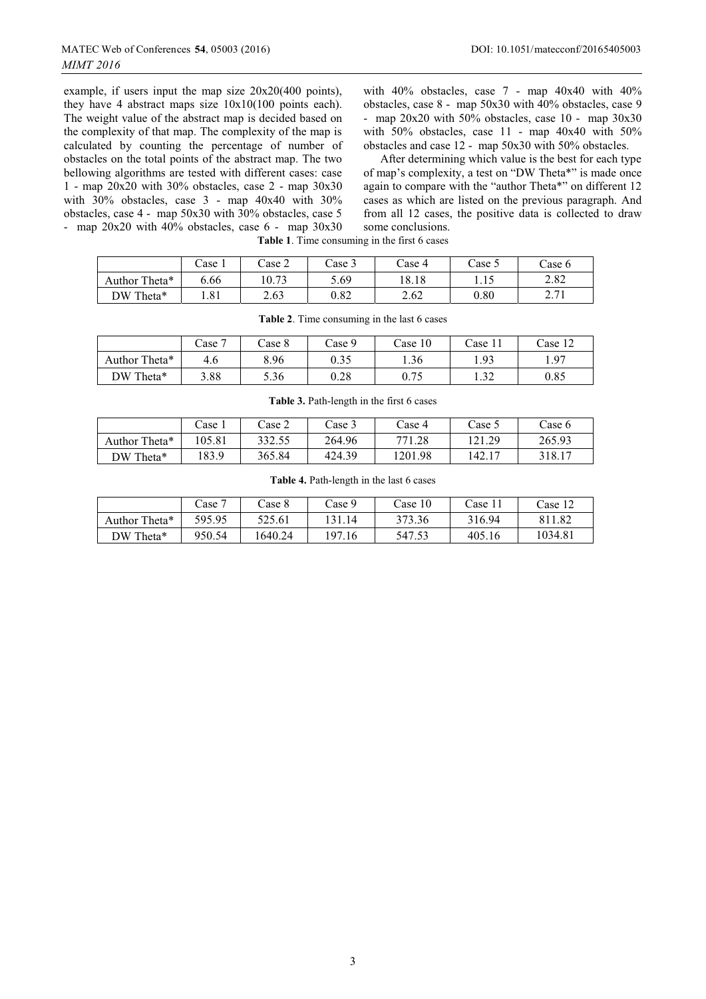example, if users input the map size 20x20(400 points), they have 4 abstract maps size 10x10(100 points each). The weight value of the abstract map is decided based on the complexity of that map. The complexity of the map is calculated by counting the percentage of number of obstacles on the total points of the abstract map. The two bellowing algorithms are tested with different cases: case 1 - map 20x20 with 30% obstacles, case 2 - map 30x30 with 30% obstacles, case 3 - map 40x40 with 30% obstacles, case 4 - map 50x30 with 30% obstacles, case 5 - map 20x20 with 40% obstacles, case 6 - map 30x30

with 40% obstacles, case 7 - map 40x40 with 40% obstacles, case 8 - map 50x30 with 40% obstacles, case 9 - map 20x20 with 50% obstacles, case 10 - map 30x30 with 50% obstacles, case  $11$  - map 40x40 with 50% obstacles and case 12 - map 50x30 with 50% obstacles.

After determining which value is the best for each type of map's complexity, a test on "DW Theta\*" is made once again to compare with the "author Theta\*" on different 12 cases as which are listed on the previous paragraph. And from all 12 cases, the positive data is collected to draw some conclusions.

**Table 1**. Time consuming in the first 6 cases

|                               | Case 1        | Case 2 | Case 3   | Case 4 | Case 5    | Case 6                |
|-------------------------------|---------------|--------|----------|--------|-----------|-----------------------|
| Author <sup>'</sup><br>Theta* | 6.66          | 10.73  | 5.69     | 18.18  | 1.1.      | 2.82                  |
| DW<br>Theta*                  | , O 1<br>1.01 | 2.63   | $0.82\,$ | 2.62   | $_{0.80}$ | 271<br>$\sim \cdot 1$ |

|               | Case 7 | Case 8 | Case 9 | Case 10 | Case 11       | Case 12 |
|---------------|--------|--------|--------|---------|---------------|---------|
| Author Theta* | 4.6    | 8.96   | 0.35   | 1.36    | 1.93          | 1.97    |
| DW Theta*     | 3.88   | 5.36   | 0.28   | 0.75    | -20<br>ے د. 1 | 0.85    |

**Table 2**. Time consuming in the last 6 cases

|                    | $\text{Case} 1$ | Case 2 | Case 3 | Case 4  | Case:  | $\text{Case } 6$ |
|--------------------|-----------------|--------|--------|---------|--------|------------------|
| Theta*<br>Author ' | 105.81          | 332.55 | 264.96 | 771.28  | 121.29 | 265.93           |
| DW Theta*          | .83.9           | 365.84 | 424.39 | 1201.98 | 142.1. | 318.17           |

#### **Table 3.** Path-length in the first 6 cases

**Table 4.** Path-length in the last 6 cases

|               | Case 7 | Case 8 | Case 9 | Case 10 | Case 1 <sub>1</sub> | Case 12 |
|---------------|--------|--------|--------|---------|---------------------|---------|
| Author Theta* | 595.95 | 525.61 | .14    | 373.36  | 316.94              | 811.82  |
| DW Theta*     | 950.54 | 640.24 | 197.16 | 547.53  | 405.16              | 1034.81 |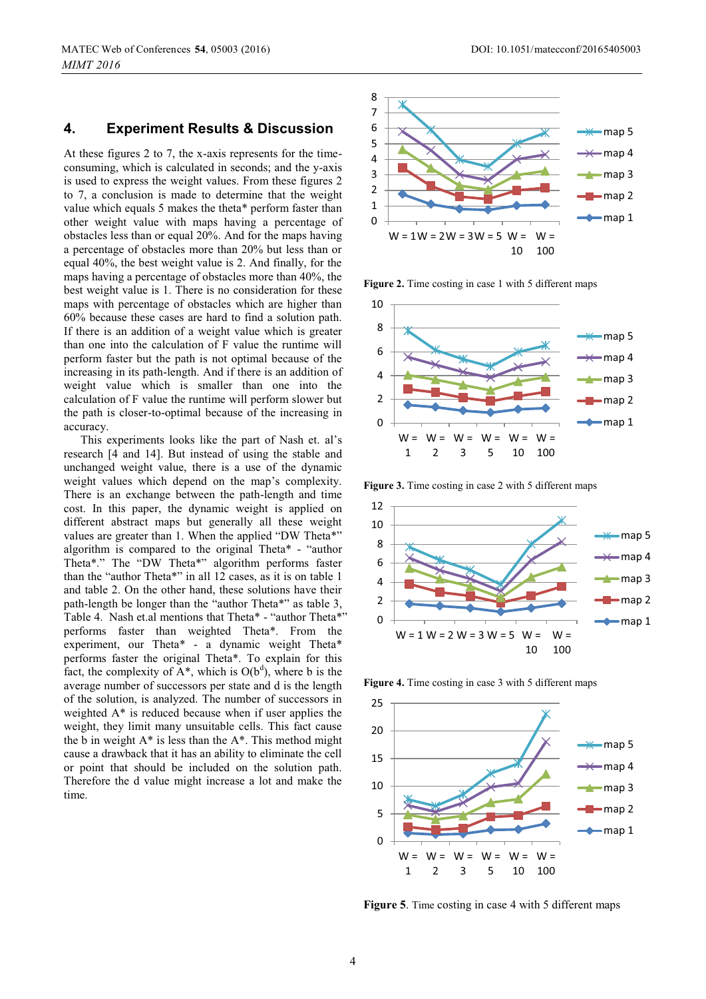#### **4. Experiment Results & Discussion**

At these figures 2 to 7, the x-axis represents for the timeconsuming, which is calculated in seconds; and the y-axis is used to express the weight values. From these figures 2 to 7, a conclusion is made to determine that the weight value which equals 5 makes the theta\* perform faster than other weight value with maps having a percentage of obstacles less than or equal 20%. And for the maps having a percentage of obstacles more than 20% but less than or equal 40%, the best weight value is 2. And finally, for the maps having a percentage of obstacles more than 40%, the best weight value is 1. There is no consideration for these maps with percentage of obstacles which are higher than 60% because these cases are hard to find a solution path. If there is an addition of a weight value which is greater than one into the calculation of F value the runtime will perform faster but the path is not optimal because of the increasing in its path-length. And if there is an addition of weight value which is smaller than one into the calculation of F value the runtime will perform slower but the path is closer-to-optimal because of the increasing in accuracy.

This experiments looks like the part of Nash et. al's research [4 and 14]. But instead of using the stable and unchanged weight value, there is a use of the dynamic weight values which depend on the map's complexity. There is an exchange between the path-length and time cost. In this paper, the dynamic weight is applied on different abstract maps but generally all these weight values are greater than 1. When the applied "DW Theta\*" algorithm is compared to the original Theta\* - "author Theta\*." The "DW Theta\*" algorithm performs faster than the "author Theta\*" in all 12 cases, as it is on table 1 and table 2. On the other hand, these solutions have their path-length be longer than the "author Theta\*" as table 3, Table 4. Nash et.al mentions that Theta\* - "author Theta\*" performs faster than weighted Theta\*. From the experiment, our Theta\* - a dynamic weight Theta\* performs faster the original Theta\*. To explain for this fact, the complexity of  $A^*$ , which is  $O(b^d)$ , where b is the average number of successors per state and d is the length of the solution, is analyzed. The number of successors in weighted A\* is reduced because when if user applies the weight, they limit many unsuitable cells. This fact cause the b in weight  $A^*$  is less than the  $A^*$ . This method might cause a drawback that it has an ability to eliminate the cell or point that should be included on the solution path. Therefore the d value might increase a lot and make the time.



Figure 2. Time costing in case 1 with 5 different maps



Figure 3. Time costing in case 2 with 5 different maps



**Figure 4.** Time costing in case 3 with 5 different maps



**Figure 5**. Time costing in case 4 with 5 different maps